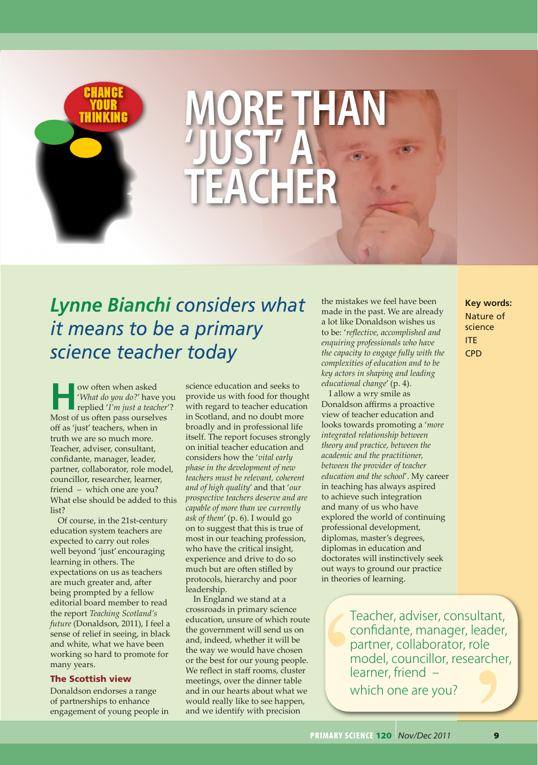

**THINKING MORE THAN 'JUST' A TEACHER**

# *Lynne Bianchi considers what it means to be a primary science teacher today*

w often when asked<br> *What do you do?'* have<br>
replied *'I'm just a teach*<br>
Mest of we do you do?' '*What do you do?*' have you replied '*I'm just a teacher*'? Most of us often pass ourselves off as 'just' teachers, when in truth we are so much more. Teacher, adviser, consultant, confidante, manager, leader, partner, collaborator, role model, councillor, researcher, learner, friend – which one are you? What else should be added to this list?

Of course, in the 21st-century education system teachers are expected to carry out roles well beyond 'just' encouraging learning in others. The expectations on us as teachers are much greater and, after being prompted by a fellow editorial board member to read the report *Teaching Scotland's future* (Donaldson, 2011), I feel a sense of relief in seeing, in black and white, what we have been working so hard to promote for many years.

### The Scottish view

Donaldson endorses a range of partnerships to enhance engagement of young people in

science education and seeks to provide us with food for thought with regard to teacher education in Scotland, and no doubt more broadly and in professional life itself. The report focuses strongly on initial teacher education and considers how the '*vital early phase in the development of new teachers must be relevant, coherent and of high quality*' and that '*our prospective teachers deserve and are capable of more than we currently ask of them*' (p. 6). I would go on to suggest that this is true of most in our teaching profession, who have the critical insight, experience and drive to do so much but are often stifled by protocols, hierarchy and poor leadership.

In England we stand at a crossroads in primary science education, unsure of which route the government will send us on and, indeed, whether it will be the way we would have chosen or the best for our young people. We reflect in staff rooms, cluster meetings, over the dinner table and in our hearts about what we would really like to see happen, and we identify with precision

the mistakes we feel have been made in the past. We are already a lot like Donaldson wishes us to be: '*reflective, accomplished and enquiring professionals who have the capacity to engage fully with the complexities of education and to be key actors in shaping and leading educational change*' (p. 4).

I allow a wry smile as Donaldson affirms a proactive view of teacher education and looks towards promoting a '*more integrated relationship between theory and practice, between the academic and the practitioner, between the provider of teacher education and the school*'. My career in teaching has always aspired to achieve such integration and many of us who have explored the world of continuing professional development, diplomas, master's degrees, diplomas in education and doctorates will instinctively seek out ways to ground our practice in theories of learning.

tant,<br>'ader,<br>le<br>|<br>|<br>| Transporter<br>
P The W Le W M Teacher, adviser, consultant, confidante, manager, leader, partner, collaborator, role model, councillor, researcher, learner, friend – which one are you?

## **Key words:** Nature of science ITE CPD